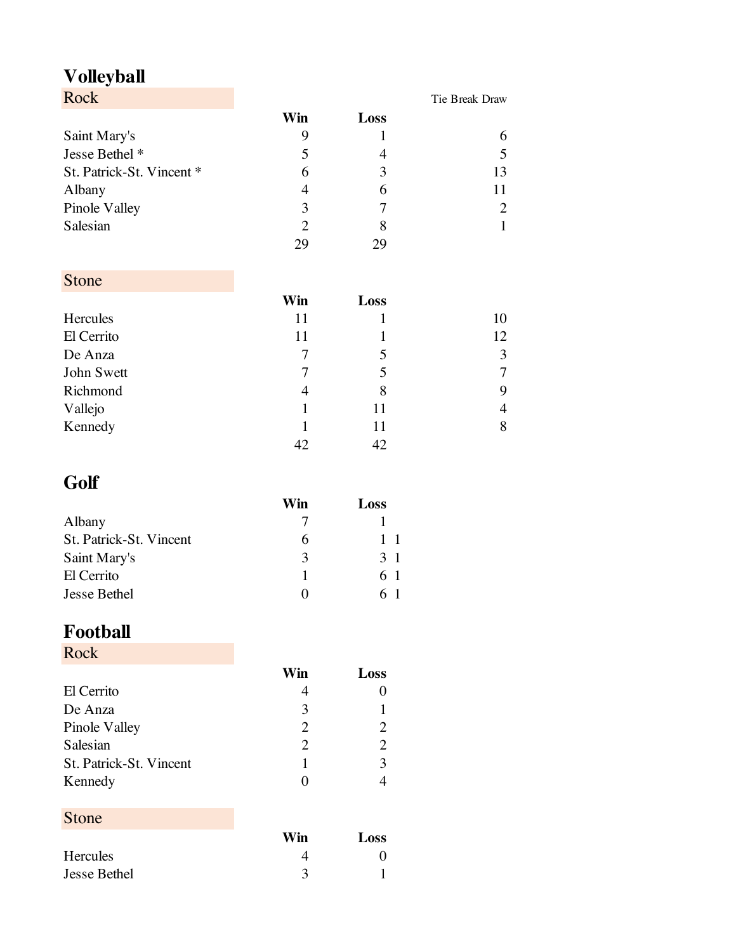## **Volleyball**

| Rock                      |     |      | Tie Break Draw |
|---------------------------|-----|------|----------------|
|                           | Win | Loss |                |
| Saint Mary's              | 9   |      |                |
| Jesse Bethel *            | 5   | 4    |                |
| St. Patrick-St. Vincent * | 6   | 3    | 13             |
| Albany                    | 4   | 6    |                |
| Pinole Valley             | 3   |      |                |
| Salesian                  | 2   | 8    |                |
|                           | 29  | 29   |                |

### Stone

|            | Win | Loss |    |
|------------|-----|------|----|
| Hercules   | 11  |      | 10 |
| El Cerrito | 11  |      | 12 |
| De Anza    | 7   | 5    | 3  |
| John Swett | 7   | 5    | 7  |
| Richmond   | 4   | 8    | 9  |
| Vallejo    |     | 11   | 4  |
| Kennedy    |     | 11   | 8  |
|            |     | 42   |    |

# **Golf**

|                         | Win | Loss           |
|-------------------------|-----|----------------|
| Albany                  |     |                |
| St. Patrick-St. Vincent | h   | 1 1            |
| Saint Mary's            | 3   | 3 <sub>1</sub> |
| El Cerrito              |     | 61             |
| <b>Jesse Bethel</b>     |     | 61             |

## **Football**

Rock

|                         | Win                         | Loss                        |
|-------------------------|-----------------------------|-----------------------------|
| El Cerrito              |                             |                             |
| De Anza                 | κ                           |                             |
| Pinole Valley           | $\mathcal{D}_{\mathcal{A}}$ |                             |
| Salesian                | 2                           | $\mathcal{D}_{\mathcal{L}}$ |
| St. Patrick-St. Vincent |                             | 3                           |
| Kennedy                 | $\blacksquare$              |                             |

### Stone

|              | Win | Loss |
|--------------|-----|------|
| Hercules     |     |      |
| Jesse Bethel |     |      |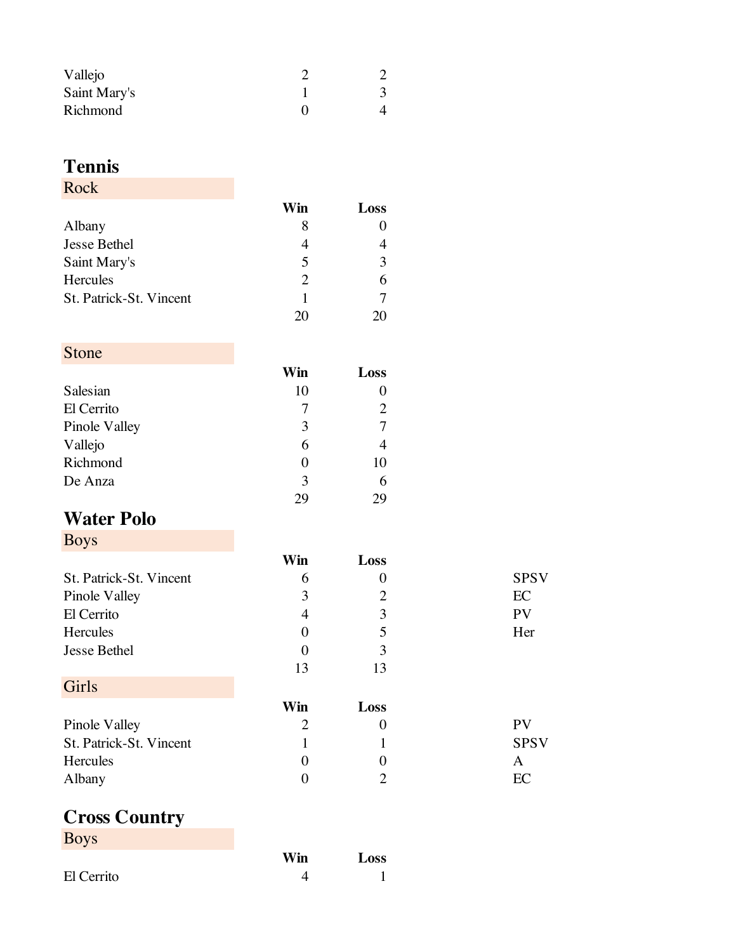| Vallejo      |  |
|--------------|--|
| Saint Mary's |  |
| Richmond     |  |

### **Tennis**

#### Rock

|                         | Win                     | Loss |
|-------------------------|-------------------------|------|
| Albany                  | x                       |      |
| <b>Jesse Bethel</b>     |                         |      |
| Saint Mary's            | $\overline{\mathbf{5}}$ | 3    |
| Hercules                | 2                       | 6    |
| St. Patrick-St. Vincent |                         |      |
|                         | $^{\prime}$ ) ( )       |      |

### Stone

|               | Win | Loss |
|---------------|-----|------|
| Salesian      | 10  |      |
| El Cerrito    |     |      |
| Pinole Valley | 3   |      |
| Vallejo       | 6   |      |
| Richmond      |     | 10   |
| De Anza       | 3   | 6    |
|               | 7y  | 79   |

## **Water Polo**

| <b>Boys</b>             |                  |      |             |
|-------------------------|------------------|------|-------------|
|                         | Win              | Loss |             |
| St. Patrick-St. Vincent | 6                |      | <b>SPSV</b> |
| Pinole Valley           |                  |      | EC          |
| El Cerrito              | 4                | 3    | <b>PV</b>   |
| Hercules                | $\left( \right)$ |      | Her         |
| <b>Jesse Bethel</b>     | $\left($         | 3    |             |
|                         | 13               | 13   |             |

| Girls                   |     |      |             |
|-------------------------|-----|------|-------------|
|                         | Win | Loss |             |
| Pinole Valley           |     |      | <b>PV</b>   |
| St. Patrick-St. Vincent |     |      | <b>SPSV</b> |
| Hercules                |     |      | А           |
| Albany                  |     |      | EC          |

#### **Cross Country Boys**

| DQV        |     |      |
|------------|-----|------|
|            | Win | Loss |
| El Cerrito |     |      |